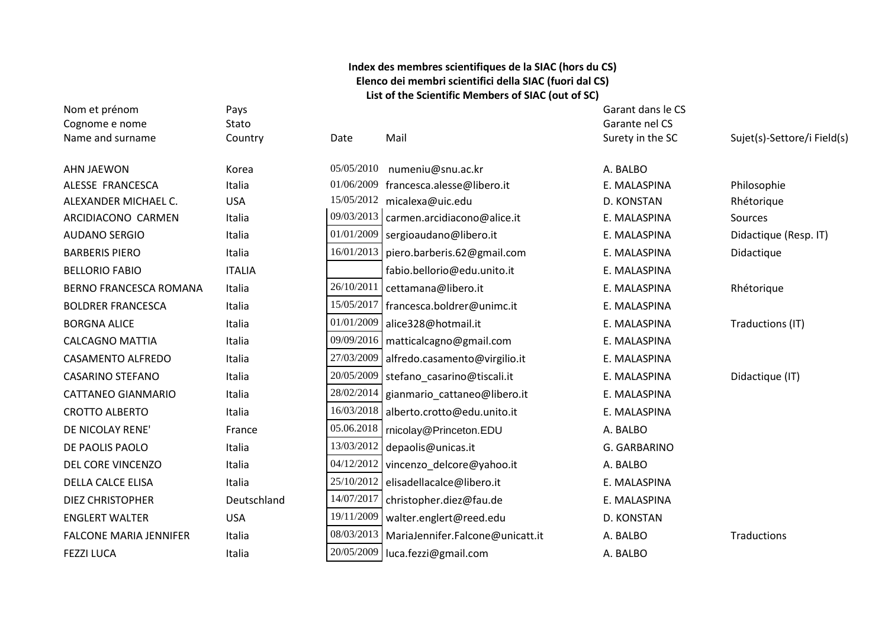## **Index des membres scientifiques de la SIAC (hors du CS) Elenco dei membri scientifici della SIAC (fuori dal CS) List of the Scientific Members of SIAC (out of SC)**

| Nom et prénom                 | Pays          |            |                                         | Garant dans le CS |                             |
|-------------------------------|---------------|------------|-----------------------------------------|-------------------|-----------------------------|
| Cognome e nome                | Stato         |            |                                         | Garante nel CS    |                             |
| Name and surname              | Country       | Date       | Mail                                    | Surety in the SC  | Sujet(s)-Settore/i Field(s) |
| <b>AHN JAEWON</b>             | Korea         | 05/05/2010 | numeniu@snu.ac.kr                       | A. BALBO          |                             |
| ALESSE FRANCESCA              | Italia        | 01/06/2009 | francesca.alesse@libero.it              | E. MALASPINA      | Philosophie                 |
| ALEXANDER MICHAEL C.          | <b>USA</b>    | 15/05/2012 | micalexa@uic.edu                        | D. KONSTAN        | Rhétorique                  |
| ARCIDIACONO CARMEN            | Italia        | 09/03/2013 | carmen.arcidiacono@alice.it             | E. MALASPINA      | Sources                     |
| <b>AUDANO SERGIO</b>          | Italia        | 01/01/2009 | sergioaudano@libero.it                  | E. MALASPINA      | Didactique (Resp. IT)       |
| <b>BARBERIS PIERO</b>         | Italia        | 16/01/2013 | piero.barberis.62@gmail.com             | E. MALASPINA      | Didactique                  |
| <b>BELLORIO FABIO</b>         | <b>ITALIA</b> |            | fabio.bellorio@edu.unito.it             | E. MALASPINA      |                             |
| <b>BERNO FRANCESCA ROMANA</b> | Italia        | 26/10/2011 | cettamana@libero.it                     | E. MALASPINA      | Rhétorique                  |
| <b>BOLDRER FRANCESCA</b>      | Italia        |            | 15/05/2017   francesca.boldrer@unimc.it | E. MALASPINA      |                             |
| <b>BORGNA ALICE</b>           | Italia        | 01/01/2009 | alice328@hotmail.it                     | E. MALASPINA      | Traductions (IT)            |
| <b>CALCAGNO MATTIA</b>        | Italia        | 09/09/2016 | matticalcagno@gmail.com                 | E. MALASPINA      |                             |
| CASAMENTO ALFREDO             | Italia        | 27/03/2009 | alfredo.casamento@virgilio.it           | E. MALASPINA      |                             |
| <b>CASARINO STEFANO</b>       | Italia        | 20/05/2009 | stefano_casarino@tiscali.it             | E. MALASPINA      | Didactique (IT)             |
| <b>CATTANEO GIANMARIO</b>     | Italia        | 28/02/2014 | gianmario_cattaneo@libero.it            | E. MALASPINA      |                             |
| <b>CROTTO ALBERTO</b>         | Italia        | 16/03/2018 | alberto.crotto@edu.unito.it             | E. MALASPINA      |                             |
| DE NICOLAY RENE'              | France        | 05.06.2018 | rnicolay@Princeton.EDU                  | A. BALBO          |                             |
| DE PAOLIS PAOLO               | Italia        | 13/03/2012 | depaolis@unicas.it                      | G. GARBARINO      |                             |
| <b>DEL CORE VINCENZO</b>      | Italia        | 04/12/2012 | vincenzo delcore@yahoo.it               | A. BALBO          |                             |
| <b>DELLA CALCE ELISA</b>      | Italia        | 25/10/2012 | elisadellacalce@libero.it               | E. MALASPINA      |                             |
| <b>DIEZ CHRISTOPHER</b>       | Deutschland   | 14/07/2017 | christopher.diez@fau.de                 | E. MALASPINA      |                             |
| <b>ENGLERT WALTER</b>         | <b>USA</b>    | 19/11/2009 | walter.englert@reed.edu                 | D. KONSTAN        |                             |
| <b>FALCONE MARIA JENNIFER</b> | Italia        | 08/03/2013 | MariaJennifer.Falcone@unicatt.it        | A. BALBO          | Traductions                 |
| <b>FEZZI LUCA</b>             | Italia        | 20/05/2009 | luca.fezzi@gmail.com                    | A. BALBO          |                             |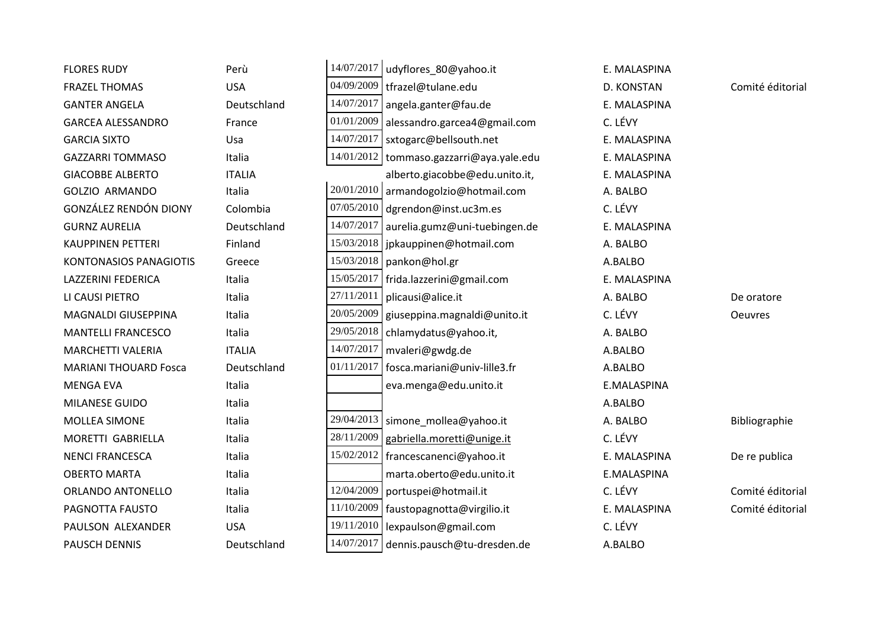| <b>FLORES RUDY</b>            | Perù          |            | 14/07/2017   udyflores_80@yahoo.it         | E. MALASPINA |                  |
|-------------------------------|---------------|------------|--------------------------------------------|--------------|------------------|
| <b>FRAZEL THOMAS</b>          | <b>USA</b>    | 04/09/2009 | tfrazel@tulane.edu                         | D. KONSTAN   | Comité éditorial |
| <b>GANTER ANGELA</b>          | Deutschland   | 14/07/2017 | angela.ganter@fau.de                       | E. MALASPINA |                  |
| <b>GARCEA ALESSANDRO</b>      | France        | 01/01/2009 | alessandro.garcea4@gmail.com               | C. LÉVY      |                  |
| <b>GARCIA SIXTO</b>           | Usa           | 14/07/2017 | sxtogarc@bellsouth.net                     | E. MALASPINA |                  |
| <b>GAZZARRI TOMMASO</b>       | Italia        |            | 14/01/2012   tommaso.gazzarri@aya.yale.edu | E. MALASPINA |                  |
| <b>GIACOBBE ALBERTO</b>       | <b>ITALIA</b> |            | alberto.giacobbe@edu.unito.it,             | E. MALASPINA |                  |
| <b>GOLZIO ARMANDO</b>         | Italia        |            | 20/01/2010 armandogolzio@hotmail.com       | A. BALBO     |                  |
| <b>GONZÁLEZ RENDÓN DIONY</b>  | Colombia      | 07/05/2010 | dgrendon@inst.uc3m.es                      | C. LÉVY      |                  |
| <b>GURNZ AURELIA</b>          | Deutschland   | 14/07/2017 | aurelia.gumz@uni-tuebingen.de              | E. MALASPINA |                  |
| <b>KAUPPINEN PETTERI</b>      | Finland       | 15/03/2018 | jpkauppinen@hotmail.com                    | A. BALBO     |                  |
| <b>KONTONASIOS PANAGIOTIS</b> | Greece        | 15/03/2018 | pankon@hol.gr                              | A.BALBO      |                  |
| <b>LAZZERINI FEDERICA</b>     | Italia        | 15/05/2017 | frida.lazzerini@gmail.com                  | E. MALASPINA |                  |
| LI CAUSI PIETRO               | Italia        | 27/11/2011 | plicausi@alice.it                          | A. BALBO     | De oratore       |
| MAGNALDI GIUSEPPINA           | Italia        | 20/05/2009 | giuseppina.magnaldi@unito.it               | C. LÉVY      | <b>Oeuvres</b>   |
| <b>MANTELLI FRANCESCO</b>     | Italia        | 29/05/2018 | chlamydatus@yahoo.it,                      | A. BALBO     |                  |
| MARCHETTI VALERIA             | <b>ITALIA</b> | 14/07/2017 | mvaleri@gwdg.de                            | A.BALBO      |                  |
| <b>MARIANI THOUARD Fosca</b>  | Deutschland   | 01/11/2017 | fosca.mariani@univ-lille3.fr               | A.BALBO      |                  |
| <b>MENGA EVA</b>              | Italia        |            | eva.menga@edu.unito.it                     | E.MALASPINA  |                  |
| MILANESE GUIDO                | Italia        |            |                                            | A.BALBO      |                  |
| <b>MOLLEA SIMONE</b>          | Italia        |            | 29/04/2013   simone_mollea@yahoo.it        | A. BALBO     | Bibliographie    |
| MORETTI GABRIELLA             | Italia        | 28/11/2009 | gabriella.moretti@unige.it                 | C. LÉVY      |                  |
| <b>NENCI FRANCESCA</b>        | Italia        | 15/02/2012 | francescanenci@yahoo.it                    | E. MALASPINA | De re publica    |
| <b>OBERTO MARTA</b>           | Italia        |            | marta.oberto@edu.unito.it                  | E.MALASPINA  |                  |
| <b>ORLANDO ANTONELLO</b>      | Italia        | 12/04/2009 | portuspei@hotmail.it                       | C. LÉVY      | Comité éditorial |
| PAGNOTTA FAUSTO               | Italia        | 11/10/2009 | faustopagnotta@virgilio.it                 | E. MALASPINA | Comité éditorial |
| PAULSON ALEXANDER             | <b>USA</b>    | 19/11/2010 | lexpaulson@gmail.com                       | C. LÉVY      |                  |
| <b>PAUSCH DENNIS</b>          | Deutschland   | 14/07/2017 | dennis.pausch@tu-dresden.de                | A.BALBO      |                  |